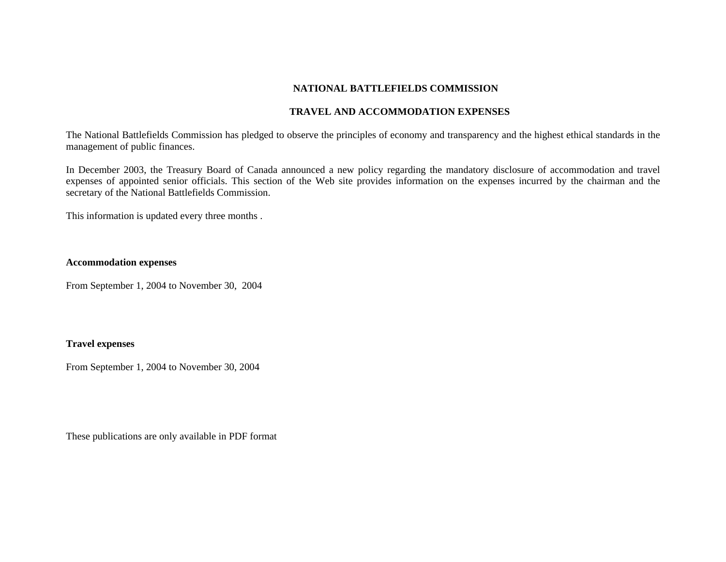#### **NATIONAL BATTLEFIELDS COMMISSION**

## **TRAVEL AND ACCOMMODATION EXPENSES**

The National Battlefields Commission has pledged to observe the principles of economy and transparency and the highest ethical standards in the management of public finances.

In December 2003, the Treasury Board of Canada announced a new policy regarding the mandatory disclosure of accommodation and travel expenses of appointed senior officials. This section of the Web site provides information on the expenses incurred by the chairman and the secretary of the National Battlefields Commission.

This information is updated every three months .

## **Accommodation expenses**

From September 1, 2004 to November 30, 2004

## **Travel expenses**

From September 1, 2004 to November 30, 2004

These publications are only available in PDF format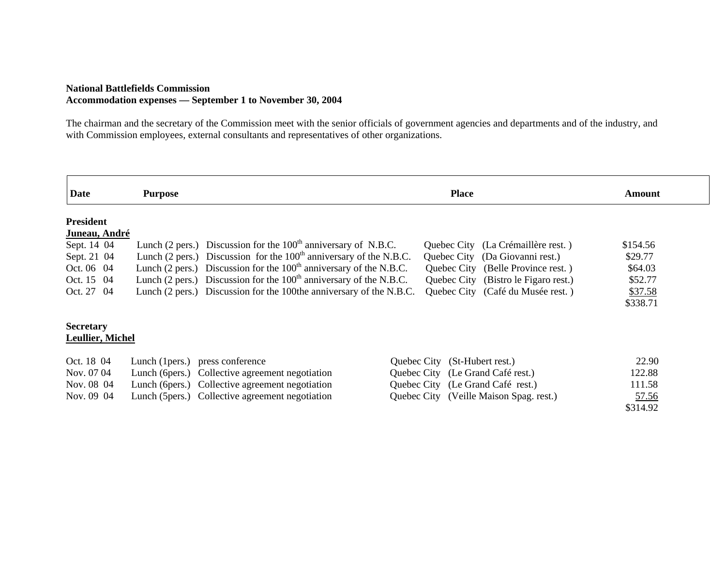#### **National Battlefields Commission Accommodation expenses — September 1 to November 30, 2004**

The chairman and the secretary of the Commission meet with the senior officials of government agencies and departments and of the industry, and with Commission employees, external consultants and representatives of other organizations.

| <b>Date</b>             | <b>Purpose</b>                                                                           | <b>Place</b>                            | Amount   |
|-------------------------|------------------------------------------------------------------------------------------|-----------------------------------------|----------|
| <b>President</b>        |                                                                                          |                                         |          |
| Juneau, André           |                                                                                          |                                         |          |
| Sept. 14 04             | Lunch (2 pers.) Discussion for the $100th$ anniversary of N.B.C.                         | Quebec City (La Crémaillère rest.)      | \$154.56 |
| Sept. 21 04             | Lunch $(2 \text{ pers.})$ Discussion for the $100^{\text{th}}$ anniversary of the N.B.C. | Quebec City (Da Giovanni rest.)         | \$29.77  |
| Oct. 06 04              | Lunch (2 pers.) Discussion for the $100th$ anniversary of the N.B.C.                     | Quebec City (Belle Province rest.)      | \$64.03  |
| Oct. 15 04              | Lunch $(2 \text{ pers.})$ Discussion for the $100^{\text{th}}$ anniversary of the N.B.C. | Quebec City (Bistro le Figaro rest.)    | \$52.77  |
| Oct. 27 04              | Lunch (2 pers.) Discussion for the 100the anniversary of the N.B.C.                      | Quebec City (Café du Musée rest.)       | \$37.58  |
|                         |                                                                                          |                                         | \$338.71 |
| <b>Secretary</b>        |                                                                                          |                                         |          |
| <b>Leullier, Michel</b> |                                                                                          |                                         |          |
| Oct. 18 04              | press conference<br>Lunch (1 pers.)                                                      | Quebec City (St-Hubert rest.)           | 22.90    |
| Nov. 07 04              | Lunch (6 pers.) Collective agreement negotiation                                         | Quebec City (Le Grand Café rest.)       | 122.88   |
| Nov. 08 04              | Lunch (6 pers.) Collective agreement negotiation                                         | Quebec City (Le Grand Café rest.)       | 111.58   |
| Nov. 09 04              | Lunch (5pers.) Collective agreement negotiation                                          | Quebec City (Veille Maison Spag. rest.) | 57.56    |
|                         |                                                                                          |                                         | \$314.92 |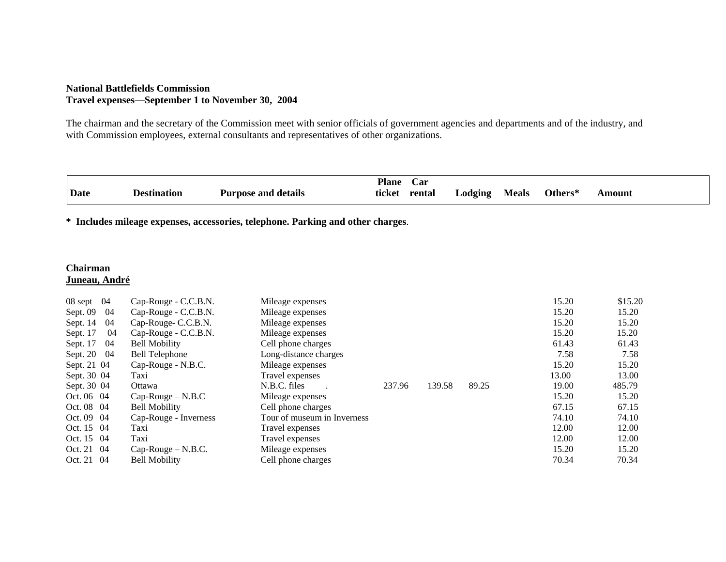#### **National Battlefields Commission Travel expenses—September 1 to November 30, 2004**

The chairman and the secretary of the Commission meet with senior officials of government agencies and departments and of the industry, and with Commission employees, external consultants and representatives of other organizations.

|             |             |                            | <b>Plane</b> | $\mathbf{Car}$ |            |              |         |        |
|-------------|-------------|----------------------------|--------------|----------------|------------|--------------|---------|--------|
| <b>Date</b> | Destination | <b>Purpose and details</b> | ticket       | rental         | $L$ odging | <b>Meals</b> | Others* | \mount |

**\* Includes mileage expenses, accessories, telephone. Parking and other charges**.

# **Chairman Juneau, André**

| 04<br>08 sept  | Cap-Rouge - C.C.B.N.  | Mileage expenses            |        |        |       | 15.20 | \$15.20 |
|----------------|-----------------------|-----------------------------|--------|--------|-------|-------|---------|
| Sept. 09<br>04 | Cap-Rouge - C.C.B.N.  | Mileage expenses            |        |        |       | 15.20 | 15.20   |
| 04<br>Sept. 14 | Cap-Rouge- C.C.B.N.   | Mileage expenses            |        |        |       | 15.20 | 15.20   |
| 04<br>Sept. 17 | Cap-Rouge - C.C.B.N.  | Mileage expenses            |        |        |       | 15.20 | 15.20   |
| 04<br>Sept. 17 | <b>Bell Mobility</b>  | Cell phone charges          |        |        |       | 61.43 | 61.43   |
| Sept. 20 04    | Bell Telephone        | Long-distance charges       |        |        |       | 7.58  | 7.58    |
| Sept. 21 04    | Cap-Rouge - N.B.C.    | Mileage expenses            |        |        |       | 15.20 | 15.20   |
| Sept. 30 04    | Taxi                  | Travel expenses             |        |        |       | 13.00 | 13.00   |
| Sept. 30 04    | Ottawa                | N.B.C. files                | 237.96 | 139.58 | 89.25 | 19.00 | 485.79  |
| Oct. 06 04     | $Cap-Rouge-N.B.C$     | Mileage expenses            |        |        |       | 15.20 | 15.20   |
| Oct. 08 04     | <b>Bell Mobility</b>  | Cell phone charges          |        |        |       | 67.15 | 67.15   |
| Oct. 09 04     | Cap-Rouge - Inverness | Tour of museum in Inverness |        |        |       | 74.10 | 74.10   |
| Oct. 15 04     | Taxi                  | Travel expenses             |        |        |       | 12.00 | 12.00   |
| Oct. 15 04     | Taxi                  | Travel expenses             |        |        |       | 12.00 | 12.00   |
| Oct. 21 04     | $Cap-Rouge-N.B.C.$    | Mileage expenses            |        |        |       | 15.20 | 15.20   |
| Oct. 21 04     | <b>Bell Mobility</b>  | Cell phone charges          |        |        |       | 70.34 | 70.34   |